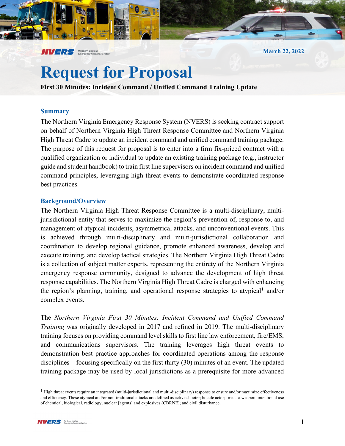**March 22, 2022**

# **Request for Proposal**

**First 30 Minutes: Incident Command / Unified Command Training Update**

#### **Summary**

The Northern Virginia Emergency Response System (NVERS) is seeking contract support on behalf of Northern Virginia High Threat Response Committee and Northern Virginia High Threat Cadre to update an incident command and unified command training package. The purpose of this request for proposal is to enter into a firm fix-priced contract with a qualified organization or individual to update an existing training package (e.g., instructor guide and student handbook) to train first line supervisors on incident command and unified command principles, leveraging high threat events to demonstrate coordinated response best practices.

### **Background/Overview**

**NVERS** Northern Virginia

The Northern Virginia High Threat Response Committee is a multi-disciplinary, multijurisdictional entity that serves to maximize the region's prevention of, response to, and management of atypical incidents, asymmetrical attacks, and unconventional events. This is achieved through multi-disciplinary and multi-jurisdictional collaboration and coordination to develop regional guidance, promote enhanced awareness, develop and execute training, and develop tactical strategies. The Northern Virginia High Threat Cadre is a collection of subject matter experts, representing the entirety of the Northern Virginia emergency response community, designed to advance the development of high threat response capabilities. The Northern Virginia High Threat Cadre is charged with enhancing the region's planning, training, and operational response strategies to atypical<sup>[1](#page-0-0)</sup> and/or complex events.

The *Northern Virginia First 30 Minutes: Incident Command and Unified Command Training* was originally developed in 2017 and refined in 2019. The multi-disciplinary training focuses on providing command level skills to first line law enforcement, fire/EMS, and communications supervisors. The training leverages high threat events to demonstration best practice approaches for coordinated operations among the response disciplines – focusing specifically on the first thirty (30) minutes of an event. The updated training package may be used by local jurisdictions as a prerequisite for more advanced

<span id="page-0-0"></span> $<sup>1</sup>$  High threat events require an integrated (multi-jurisdictional and multi-disciplinary) response to ensure and/or maximize effectiveness</sup> and efficiency. These atypical and/or non-traditional attacks are defined as active shooter; hostile actor; fire as a weapon; intentional use of chemical, biological, radiology, nuclear [agents] and explosives (CBRNE); and civil disturbance.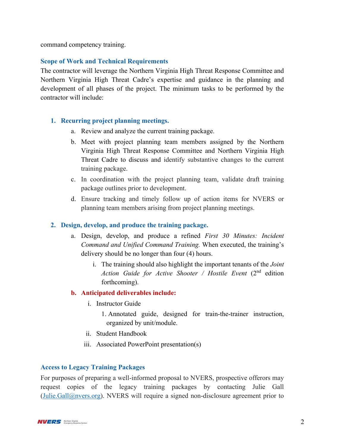command competency training.

## **Scope of Work and Technical Requirements**

The contractor will leverage the Northern Virginia High Threat Response Committee and Northern Virginia High Threat Cadre's expertise and guidance in the planning and development of all phases of the project. The minimum tasks to be performed by the contractor will include:

## **1. Recurring project planning meetings.**

- a. Review and analyze the current training package.
- b. Meet with project planning team members assigned by the Northern Virginia High Threat Response Committee and Northern Virginia High Threat Cadre to discuss and identify substantive changes to the current training package.
- c. In coordination with the project planning team, validate draft training package outlines prior to development.
- d. Ensure tracking and timely follow up of action items for NVERS or planning team members arising from project planning meetings.

## **2. Design, develop, and produce the training package.**

- a. Design, develop, and produce a refined *First 30 Minutes: Incident Command and Unified Command Training.* When executed, the training's delivery should be no longer than four (4) hours.
	- i. The training should also highlight the important tenants of the *Joint Action Guide for Active Shooter / Hostile Event* (2nd edition forthcoming).

# **b. Anticipated deliverables include:**

- i. Instructor Guide
	- 1. Annotated guide, designed for train-the-trainer instruction, organized by unit/module.
- ii. Student Handbook
- iii. Associated PowerPoint presentation(s)

## **Access to Legacy Training Packages**

For purposes of preparing a well-informed proposal to NVERS, prospective offerors may request copies of the legacy training packages by contacting Julie Gall [\(Julie.Gall@nvers.org\)](mailto:Julie.Gall@nvers.org). NVERS will require a signed non-disclosure agreement prior to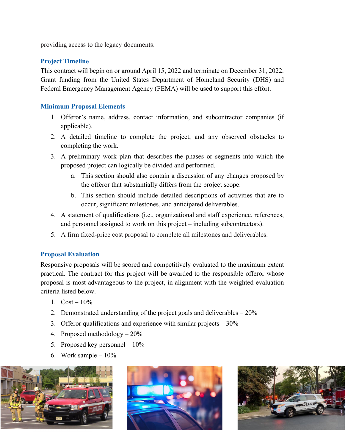providing access to the legacy documents.

# **Project Timeline**

This contract will begin on or around April 15, 2022 and terminate on December 31, 2022. Grant funding from the United States Department of Homeland Security (DHS) and Federal Emergency Management Agency (FEMA) will be used to support this effort.

# **Minimum Proposal Elements**

- 1. Offeror's name, address, contact information, and subcontractor companies (if applicable).
- 2. A detailed timeline to complete the project, and any observed obstacles to completing the work.
- 3. A preliminary work plan that describes the phases or segments into which the proposed project can logically be divided and performed.
	- a. This section should also contain a discussion of any changes proposed by the offeror that substantially differs from the project scope.
	- b. This section should include detailed descriptions of activities that are to occur, significant milestones, and anticipated deliverables.
- 4. A statement of qualifications (i.e., organizational and staff experience, references, and personnel assigned to work on this project – including subcontractors).
- 5. A firm fixed-price cost proposal to complete all milestones and deliverables.

## **Proposal Evaluation**

Responsive proposals will be scored and competitively evaluated to the maximum extent practical. The contract for this project will be awarded to the responsible offeror whose proposal is most advantageous to the project, in alignment with the weighted evaluation criteria listed below.

- 1.  $Cost 10\%$
- 2. Demonstrated understanding of the project goals and deliverables 20%
- 3. Offeror qualifications and experience with similar projects 30%
- 4. Proposed methodology 20%
- 5. Proposed key personnel 10%
- 6. Work sample  $-10\%$